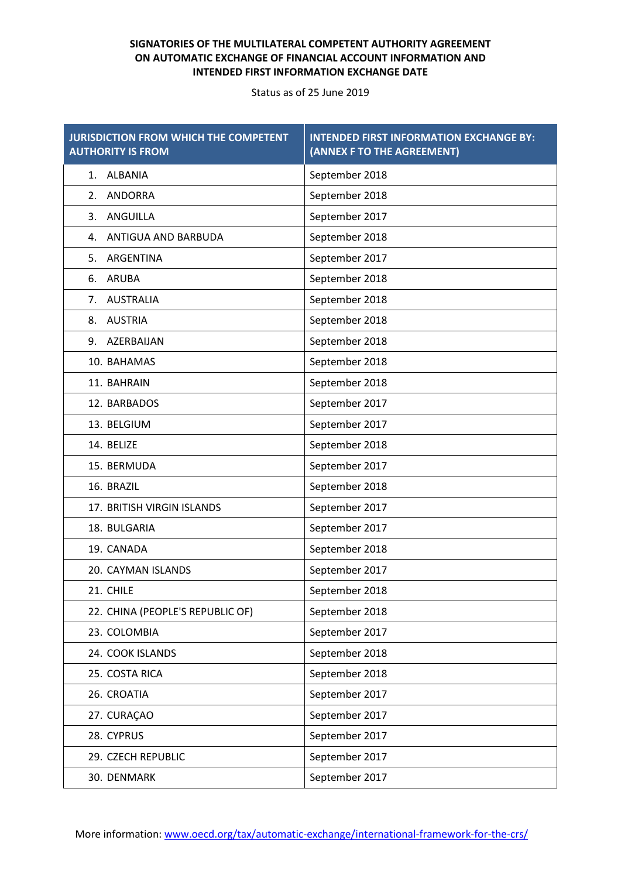| <b>JURISDICTION FROM WHICH THE COMPETENT</b><br><b>AUTHORITY IS FROM</b> | <b>INTENDED FIRST INFORMATION EXCHANGE BY:</b><br>(ANNEX F TO THE AGREEMENT) |
|--------------------------------------------------------------------------|------------------------------------------------------------------------------|
| <b>ALBANIA</b><br>1.                                                     | September 2018                                                               |
| <b>ANDORRA</b><br>2.                                                     | September 2018                                                               |
| ANGUILLA<br>3.                                                           | September 2017                                                               |
| ANTIGUA AND BARBUDA<br>4.                                                | September 2018                                                               |
| ARGENTINA<br>5.                                                          | September 2017                                                               |
| <b>ARUBA</b><br>6.                                                       | September 2018                                                               |
| 7. AUSTRALIA                                                             | September 2018                                                               |
| <b>AUSTRIA</b><br>8.                                                     | September 2018                                                               |
| AZERBAIJAN<br>9.                                                         | September 2018                                                               |
| 10. BAHAMAS                                                              | September 2018                                                               |
| 11. BAHRAIN                                                              | September 2018                                                               |
| 12. BARBADOS                                                             | September 2017                                                               |
| 13. BELGIUM                                                              | September 2017                                                               |
| 14. BELIZE                                                               | September 2018                                                               |
| 15. BERMUDA                                                              | September 2017                                                               |
| 16. BRAZIL                                                               | September 2018                                                               |
| 17. BRITISH VIRGIN ISLANDS                                               | September 2017                                                               |
| 18. BULGARIA                                                             | September 2017                                                               |
| 19. CANADA                                                               | September 2018                                                               |
| 20. CAYMAN ISLANDS                                                       | September 2017                                                               |
| 21. CHILE                                                                | September 2018                                                               |
| 22. CHINA (PEOPLE'S REPUBLIC OF)                                         | September 2018                                                               |
| 23. COLOMBIA                                                             | September 2017                                                               |
| 24. COOK ISLANDS                                                         | September 2018                                                               |
| 25. COSTA RICA                                                           | September 2018                                                               |
| 26. CROATIA                                                              | September 2017                                                               |
| 27. CURAÇAO                                                              | September 2017                                                               |
| 28. CYPRUS                                                               | September 2017                                                               |
| 29. CZECH REPUBLIC                                                       | September 2017                                                               |
| 30. DENMARK                                                              | September 2017                                                               |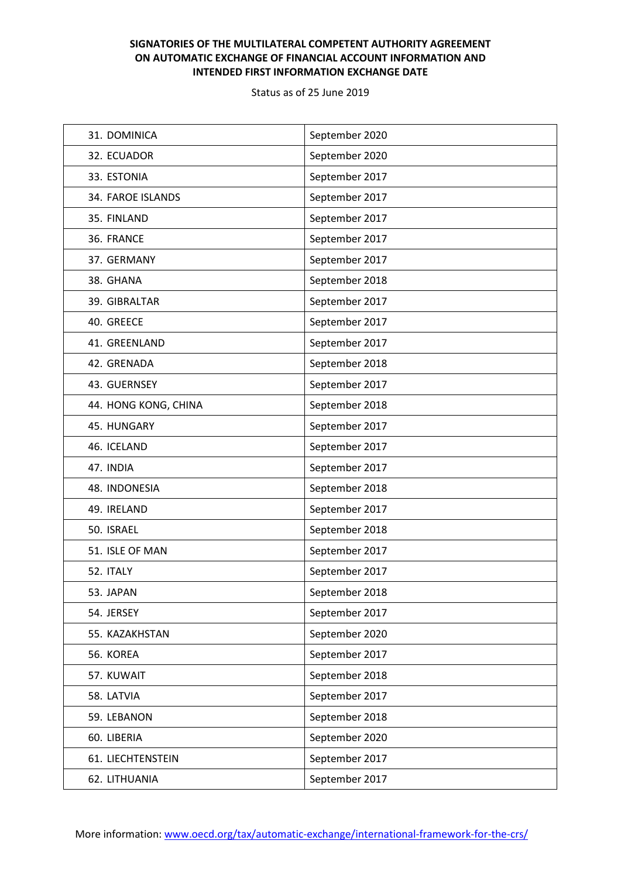| 31. DOMINICA         | September 2020 |
|----------------------|----------------|
| 32. ECUADOR          | September 2020 |
| 33. ESTONIA          | September 2017 |
| 34. FAROE ISLANDS    | September 2017 |
| 35. FINLAND          | September 2017 |
| 36. FRANCE           | September 2017 |
| 37. GERMANY          | September 2017 |
| 38. GHANA            | September 2018 |
| 39. GIBRALTAR        | September 2017 |
| 40. GREECE           | September 2017 |
| 41. GREENLAND        | September 2017 |
| 42. GRENADA          | September 2018 |
| 43. GUERNSEY         | September 2017 |
| 44. HONG KONG, CHINA | September 2018 |
| 45. HUNGARY          | September 2017 |
| 46. ICELAND          | September 2017 |
| 47. INDIA            | September 2017 |
| 48. INDONESIA        | September 2018 |
| 49. IRELAND          | September 2017 |
| 50. ISRAEL           | September 2018 |
| 51. ISLE OF MAN      | September 2017 |
| 52. ITALY            | September 2017 |
| 53. JAPAN            | September 2018 |
| 54. JERSEY           | September 2017 |
| 55. KAZAKHSTAN       | September 2020 |
| 56. KOREA            | September 2017 |
| 57. KUWAIT           | September 2018 |
| 58. LATVIA           | September 2017 |
| 59. LEBANON          | September 2018 |
| 60. LIBERIA          | September 2020 |
| 61. LIECHTENSTEIN    | September 2017 |
| 62. LITHUANIA        | September 2017 |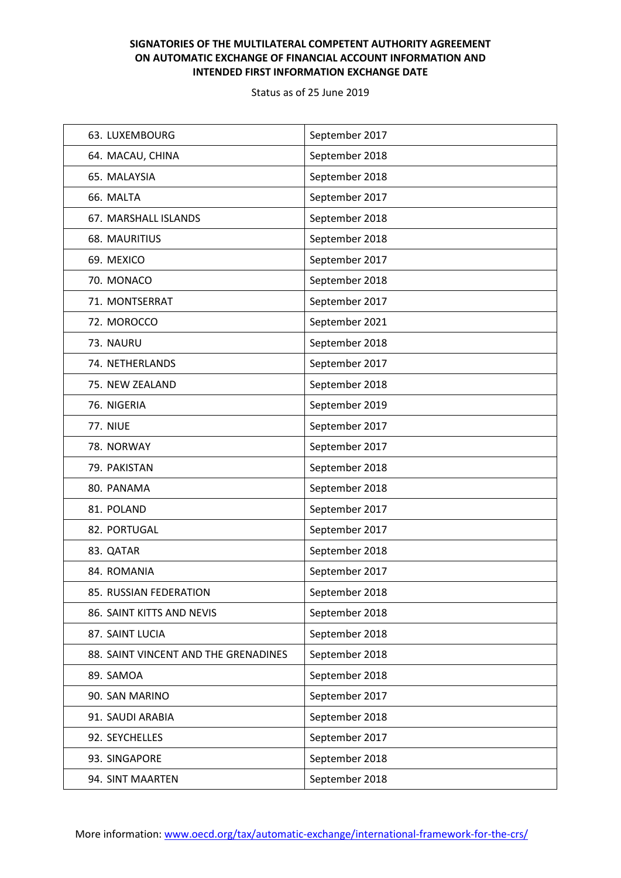| 63. LUXEMBOURG                       | September 2017 |
|--------------------------------------|----------------|
| 64. MACAU, CHINA                     | September 2018 |
| 65. MALAYSIA                         | September 2018 |
| 66. MALTA                            | September 2017 |
| 67. MARSHALL ISLANDS                 | September 2018 |
| 68. MAURITIUS                        | September 2018 |
| 69. MEXICO                           | September 2017 |
| 70. MONACO                           | September 2018 |
| 71. MONTSERRAT                       | September 2017 |
| 72. MOROCCO                          | September 2021 |
| 73. NAURU                            | September 2018 |
| 74. NETHERLANDS                      | September 2017 |
| 75. NEW ZEALAND                      | September 2018 |
| 76. NIGERIA                          | September 2019 |
| <b>77. NIUE</b>                      | September 2017 |
| 78. NORWAY                           | September 2017 |
| 79. PAKISTAN                         | September 2018 |
| 80. PANAMA                           | September 2018 |
| 81. POLAND                           | September 2017 |
| 82. PORTUGAL                         | September 2017 |
| 83. QATAR                            | September 2018 |
| 84. ROMANIA                          | September 2017 |
| 85. RUSSIAN FEDERATION               | September 2018 |
| 86. SAINT KITTS AND NEVIS            | September 2018 |
| 87. SAINT LUCIA                      | September 2018 |
| 88. SAINT VINCENT AND THE GRENADINES | September 2018 |
| 89. SAMOA                            | September 2018 |
| 90. SAN MARINO                       | September 2017 |
| 91. SAUDI ARABIA                     | September 2018 |
| 92. SEYCHELLES                       | September 2017 |
| 93. SINGAPORE                        | September 2018 |
| 94. SINT MAARTEN                     | September 2018 |